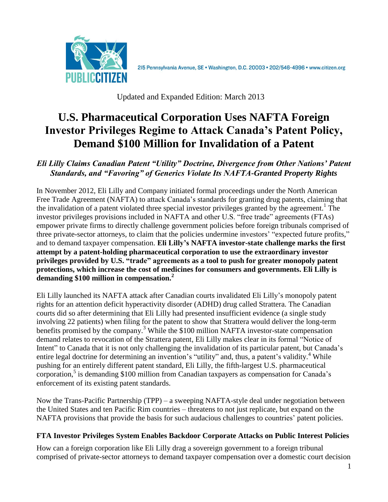

2I5 Pennsylvania Avenue, SE · Washington, D.C. 20003 · 202/546-4996 · www.citizen.org

Updated and Expanded Edition: March 2013

# **U.S. Pharmaceutical Corporation Uses NAFTA Foreign Investor Privileges Regime to Attack Canada's Patent Policy, Demand \$100 Million for Invalidation of a Patent**

# *Eli Lilly Claims Canadian Patent "Utility" Doctrine, Divergence from Other Nations' Patent Standards, and "Favoring" of Generics Violate Its NAFTA-Granted Property Rights*

In November 2012, Eli Lilly and Company initiated formal proceedings under the North American Free Trade Agreement (NAFTA) to attack Canada's standards for granting drug patents, claiming that the invalidation of a patent violated three special investor privileges granted by the agreement.<sup>1</sup> The investor privileges provisions included in NAFTA and other U.S. "free trade" agreements (FTAs) empower private firms to directly challenge government policies before foreign tribunals comprised of three private-sector attorneys, to claim that the policies undermine investors' "expected future profits," and to demand taxpayer compensation. **Eli Lilly's NAFTA investor-state challenge marks the first attempt by a patent-holding pharmaceutical corporation to use the extraordinary investor privileges provided by U.S. "trade" agreements as a tool to push for greater monopoly patent protections, which increase the cost of medicines for consumers and governments. Eli Lilly is demanding \$100 million in compensation.<sup>2</sup>**

Eli Lilly launched its NAFTA attack after Canadian courts invalidated Eli Lilly's monopoly patent rights for an attention deficit hyperactivity disorder (ADHD) drug called Strattera. The Canadian courts did so after determining that Eli Lilly had presented insufficient evidence (a single study involving 22 patients) when filing for the patent to show that Strattera would deliver the long-term benefits promised by the company.<sup>3</sup> While the  $$100$  million NAFTA investor-state compensation demand relates to revocation of the Strattera patent, Eli Lilly makes clear in its formal "Notice of Intent" to Canada that it is not only challenging the invalidation of its particular patent, but Canada's entire legal doctrine for determining an invention's "utility" and, thus, a patent's validity.<sup>4</sup> While pushing for an entirely different patent standard, Eli Lilly, the fifth-largest U.S. pharmaceutical corporation,<sup>5</sup> is demanding \$100 million from Canadian taxpayers as compensation for Canada's enforcement of its existing patent standards.

Now the Trans-Pacific Partnership (TPP) – a sweeping NAFTA-style deal under negotiation between the United States and ten Pacific Rim countries – threatens to not just replicate, but expand on the NAFTA provisions that provide the basis for such audacious challenges to countries' patent policies.

# **FTA Investor Privileges System Enables Backdoor Corporate Attacks on Public Interest Policies**

How can a foreign corporation like Eli Lilly drag a sovereign government to a foreign tribunal comprised of private-sector attorneys to demand taxpayer compensation over a domestic court decision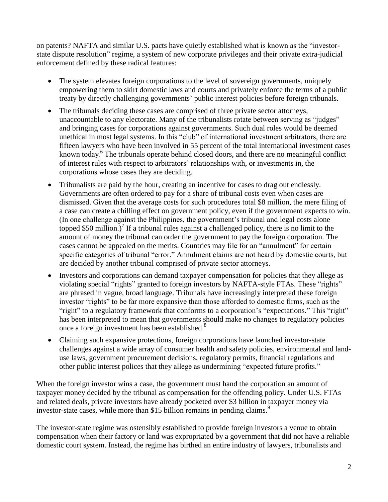on patents? NAFTA and similar U.S. pacts have quietly established what is known as the "investorstate dispute resolution" regime, a system of new corporate privileges and their private extra-judicial enforcement defined by these radical features:

- The system elevates foreign corporations to the level of sovereign governments, uniquely empowering them to skirt domestic laws and courts and privately enforce the terms of a public treaty by directly challenging governments' public interest policies before foreign tribunals.
- The tribunals deciding these cases are comprised of three private sector attorneys, unaccountable to any electorate. Many of the tribunalists rotate between serving as "judges" and bringing cases for corporations against governments. Such dual roles would be deemed unethical in most legal systems. In this "club" of international investment arbitrators, there are fifteen lawyers who have been involved in 55 percent of the total international investment cases known today.<sup>6</sup> The tribunals operate behind closed doors, and there are no meaningful conflict of interest rules with respect to arbitrators' relationships with, or investments in, the corporations whose cases they are deciding.
- Tribunalists are paid by the hour, creating an incentive for cases to drag out endlessly. Governments are often ordered to pay for a share of tribunal costs even when cases are dismissed. Given that the average costs for such procedures total \$8 million, the mere filing of a case can create a chilling effect on government policy, even if the government expects to win. (In one challenge against the Philippines, the government's tribunal and legal costs alone topped \$50 million.) $^7$  If a tribunal rules against a challenged policy, there is no limit to the amount of money the tribunal can order the government to pay the foreign corporation. The cases cannot be appealed on the merits. Countries may file for an "annulment" for certain specific categories of tribunal "error." Annulment claims are not heard by domestic courts, but are decided by another tribunal comprised of private sector attorneys.
- Investors and corporations can demand taxpayer compensation for policies that they allege as violating special "rights" granted to foreign investors by NAFTA-style FTAs. These "rights" are phrased in vague, broad language. Tribunals have increasingly interpreted these foreign investor "rights" to be far more expansive than those afforded to domestic firms, such as the "right" to a regulatory framework that conforms to a corporation's "expectations." This "right" has been interpreted to mean that governments should make no changes to regulatory policies once a foreign investment has been established.<sup>8</sup>
- Claiming such expansive protections, foreign corporations have launched investor-state challenges against a wide array of consumer health and safety policies, environmental and landuse laws, government procurement decisions, regulatory permits, financial regulations and other public interest polices that they allege as undermining "expected future profits."

When the foreign investor wins a case, the government must hand the corporation an amount of taxpayer money decided by the tribunal as compensation for the offending policy. Under U.S. FTAs and related deals, private investors have already pocketed over \$3 billion in taxpayer money via investor-state cases, while more than \$15 billion remains in pending claims.<sup>9</sup>

The investor-state regime was ostensibly established to provide foreign investors a venue to obtain compensation when their factory or land was expropriated by a government that did not have a reliable domestic court system. Instead, the regime has birthed an entire industry of lawyers, tribunalists and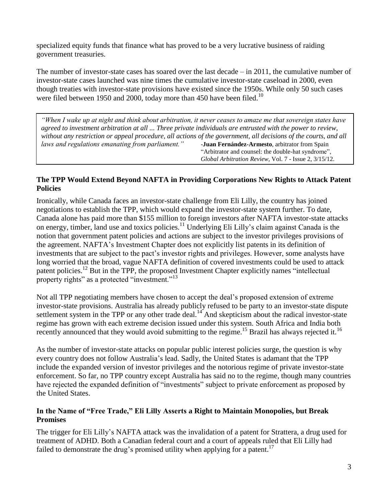specialized equity funds that finance what has proved to be a very lucrative business of raiding government treasuries.

The number of investor-state cases has soared over the last decade – in 2011, the cumulative number of investor-state cases launched was nine times the cumulative investor-state caseload in 2000, even though treaties with investor-state provisions have existed since the 1950s. While only 50 such cases were filed between 1950 and 2000, today more than 450 have been filed.<sup>10</sup>

*"When I wake up at night and think about arbitration, it never ceases to amaze me that sovereign states have agreed to investment arbitration at all ... Three private individuals are entrusted with the power to review, without any restriction or appeal procedure, all actions of the government, all decisions of the courts, and all laws and regulations emanating from parliament."* -**Juan Fernández-Armesto**, arbitrator from Spain "Arbitrator and counsel: the double-hat syndrome", *Global Arbitration Review*, Vol. 7 - Issue 2, 3/15/12.

## **The TPP Would Extend Beyond NAFTA in Providing Corporations New Rights to Attack Patent Policies**

Ironically, while Canada faces an investor-state challenge from Eli Lilly, the country has joined negotiations to establish the TPP, which would expand the investor-state system further. To date, Canada alone has paid more than \$155 million to foreign investors after NAFTA investor-state attacks on energy, timber, land use and toxics policies.<sup>11</sup> Underlying Eli Lilly's claim against Canada is the notion that government patent policies and actions are subject to the investor privileges provisions of the agreement. NAFTA's Investment Chapter does not explicitly list patents in its definition of investments that are subject to the pact's investor rights and privileges. However, some analysts have long worried that the broad, vague NAFTA definition of covered investments could be used to attack patent policies.<sup>12</sup> But in the TPP, the proposed Investment Chapter explicitly names "intellectual property rights" as a protected "investment."<sup>13</sup>

Not all TPP negotiating members have chosen to accept the deal's proposed extension of extreme investor-state provisions. Australia has already publicly refused to be party to an investor-state dispute settlement system in the TPP or any other trade deal.<sup>14</sup> And skepticism about the radical investor-state regime has grown with each extreme decision issued under this system. South Africa and India both recently announced that they would avoid submitting to the regime.<sup>15</sup> Brazil has always rejected it.<sup>16</sup>

As the number of investor-state attacks on popular public interest policies surge, the question is why every country does not follow Australia's lead. Sadly, the United States is adamant that the TPP include the expanded version of investor privileges and the notorious regime of private investor-state enforcement. So far, no TPP country except Australia has said no to the regime, though many countries have rejected the expanded definition of "investments" subject to private enforcement as proposed by the United States.

#### **In the Name of "Free Trade," Eli Lilly Asserts a Right to Maintain Monopolies, but Break Promises**

The trigger for Eli Lilly's NAFTA attack was the invalidation of a patent for Strattera, a drug used for treatment of ADHD. Both a Canadian federal court and a court of appeals ruled that Eli Lilly had failed to demonstrate the drug's promised utility when applying for a patent.<sup>17</sup>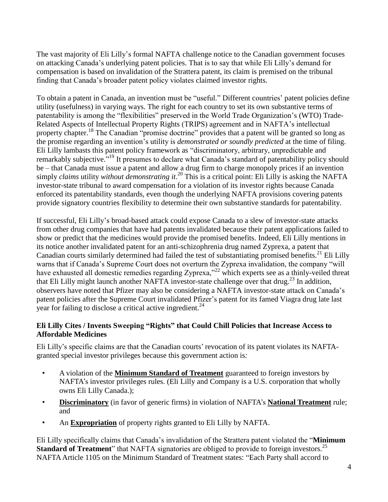The vast majority of Eli Lilly's formal NAFTA challenge notice to the Canadian government focuses on attacking Canada's underlying patent policies. That is to say that while Eli Lilly's demand for compensation is based on invalidation of the Strattera patent, its claim is premised on the tribunal finding that Canada's broader patent policy violates claimed investor rights.

To obtain a patent in Canada, an invention must be "useful." Different countries' patent policies define utility (usefulness) in varying ways. The right for each country to set its own substantive terms of patentability is among the "flexibilities" preserved in the World Trade Organization's (WTO) Trade-Related Aspects of Intellectual Property Rights (TRIPS) agreement and in NAFTA's intellectual property chapter.<sup>18</sup> The Canadian "promise doctrine" provides that a patent will be granted so long as the promise regarding an invention's utility is *demonstrated or soundly predicted* at the time of filing. Eli Lilly lambasts this patent policy framework as "discriminatory, arbitrary, unpredictable and remarkably subjective.<sup>719</sup> It presumes to declare what Canada's standard of patentability policy should be – that Canada must issue a patent and allow a drug firm to charge monopoly prices if an invention simply *claims* utility *without demonstrating it*. <sup>20</sup> This is a critical point: Eli Lilly is asking the NAFTA investor-state tribunal to award compensation for a violation of its investor rights because Canada enforced its patentability standards, even though the underlying NAFTA provisions covering patents provide signatory countries flexibility to determine their own substantive standards for patentability.

If successful, Eli Lilly's broad-based attack could expose Canada to a slew of investor-state attacks from other drug companies that have had patents invalidated because their patent applications failed to show or predict that the medicines would provide the promised benefits. Indeed, Eli Lilly mentions in its notice another invalidated patent for an anti-schizophrenia drug named Zyprexa, a patent that Canadian courts similarly determined had failed the test of substantiating promised benefits.<sup>21</sup> Eli Lilly warns that if Canada's Supreme Court does not overturn the Zyprexa invalidation, the company "will have exhausted all domestic remedies regarding Zyprexa,"<sup>22</sup> which experts see as a thinly-veiled threat that Eli Lilly might launch another NAFTA investor-state challenge over that drug.<sup>23</sup> In addition, observers have noted that Pfizer may also be considering a NAFTA investor-state attack on Canada's patent policies after the Supreme Court invalidated Pfizer's patent for its famed Viagra drug late last year for failing to disclose a critical active ingredient.<sup>24</sup>

## **Eli Lilly Cites / Invents Sweeping "Rights" that Could Chill Policies that Increase Access to Affordable Medicines**

Eli Lilly's specific claims are that the Canadian courts' revocation of its patent violates its NAFTAgranted special investor privileges because this government action is*:*

- A violation of the **Minimum Standard of Treatment** guaranteed to foreign investors by NAFTA's investor privileges rules. (Eli Lilly and Company is a U.S. corporation that wholly owns Eli Lilly Canada.);
- **Discriminatory** (in favor of generic firms) in violation of NAFTA's **National Treatment** rule; and
- An **Expropriation** of property rights granted to Eli Lilly by NAFTA.

Eli Lilly specifically claims that Canada's invalidation of the Strattera patent violated the "**Minimum Standard of Treatment**" that NAFTA signatories are obliged to provide to foreign investors.<sup>25</sup> NAFTA Article 1105 on the Minimum Standard of Treatment states: "Each Party shall accord to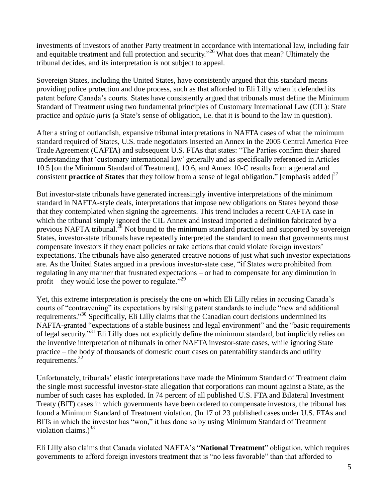investments of investors of another Party treatment in accordance with international law, including fair and equitable treatment and full protection and security."<sup>26</sup> What does that mean? Ultimately the tribunal decides, and its interpretation is not subject to appeal.

Sovereign States, including the United States, have consistently argued that this standard means providing police protection and due process, such as that afforded to Eli Lilly when it defended its patent before Canada's courts. States have consistently argued that tribunals must define the Minimum Standard of Treatment using two fundamental principles of Customary International Law (CIL): State practice and *opinio juris* (a State's sense of obligation, i.e. that it is bound to the law in question).

After a string of outlandish, expansive tribunal interpretations in NAFTA cases of what the minimum standard required of States, U.S. trade negotiators inserted an Annex in the 2005 Central America Free Trade Agreement (CAFTA) and subsequent U.S. FTAs that states: "The Parties confirm their shared understanding that 'customary international law' generally and as specifically referenced in Articles 10.5 [on the Minimum Standard of Treatment], 10.6, and Annex 10-C results from a general and consistent **practice of States** that they follow from a sense of legal obligation." [emphasis added] 27

But investor-state tribunals have generated increasingly inventive interpretations of the minimum standard in NAFTA-style deals, interpretations that impose new obligations on States beyond those that they contemplated when signing the agreements. This trend includes a recent CAFTA case in which the tribunal simply ignored the CIL Annex and instead imported a definition fabricated by a previous NAFTA tribunal.<sup>28</sup> Not bound to the minimum standard practiced and supported by sovereign States, investor-state tribunals have repeatedly interpreted the standard to mean that governments must compensate investors if they enact policies or take actions that could violate foreign investors' expectations. The tribunals have also generated creative notions of just what such investor expectations are. As the United States argued in a previous investor-state case, "if States were prohibited from regulating in any manner that frustrated expectations – or had to compensate for any diminution in profit – they would lose the power to regulate."<sup>29</sup>

Yet, this extreme interpretation is precisely the one on which Eli Lilly relies in accusing Canada's courts of "contravening" its expectations by raising patent standards to include "new and additional requirements."<sup>30</sup> Specifically, Eli Lilly claims that the Canadian court decisions undermined its NAFTA-granted "expectations of a stable business and legal environment" and the "basic requirements of legal security."<sup>31</sup> Eli Lilly does not explicitly define the minimum standard, but implicitly relies on the inventive interpretation of tribunals in other NAFTA investor-state cases, while ignoring State practice – the body of thousands of domestic court cases on patentability standards and utility requirements.<sup>32</sup>

Unfortunately, tribunals' elastic interpretations have made the Minimum Standard of Treatment claim the single most successful investor-state allegation that corporations can mount against a State, as the number of such cases has exploded. In 74 percent of all published U.S. FTA and Bilateral Investment Treaty (BIT) cases in which governments have been ordered to compensate investors, the tribunal has found a Minimum Standard of Treatment violation. (In 17 of 23 published cases under U.S. FTAs and BITs in which the investor has "won," it has done so by using Minimum Standard of Treatment violation claims.) $^{33}$ 

Eli Lilly also claims that Canada violated NAFTA's "**National Treatment**" obligation, which requires governments to afford foreign investors treatment that is "no less favorable" than that afforded to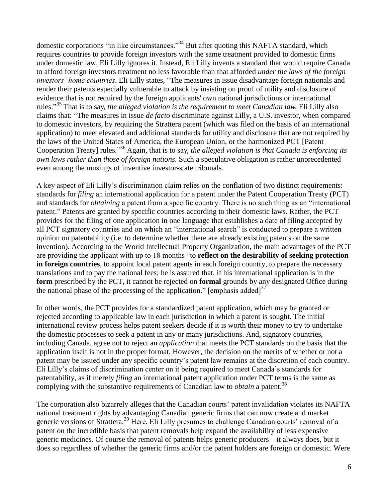domestic corporations "in like circumstances."<sup>34</sup> But after quoting this NAFTA standard, which requires countries to provide foreign investors with the same treatment provided to domestic firms under domestic law, Eli Lilly ignores it. Instead, Eli Lilly invents a standard that would require Canada to afford foreign investors treatment no less favorable than that afforded *under the laws of the foreign investors' home countries*. Eli Lilly states, "The measures in issue disadvantage foreign nationals and render their patents especially vulnerable to attack by insisting on proof of utility and disclosure of evidence that is not required by the foreign applicants' own national jurisdictions or international rules." <sup>35</sup> That is to say, *the alleged violation is the requirement to meet Canadian law.* Eli Lilly also claims that: "The measures in issue *de facto* discriminate against Lilly, a U.S. investor, when compared to domestic investors, by requiring the Strattera patent (which was filed on the basis of an international application) to meet elevated and additional standards for utility and disclosure that are not required by the laws of the United States of America, the European Union, or the harmonized PCT [Patent Cooperation Treaty] rules."<sup>36</sup> Again, that is to say, *the alleged violation is that Canada is enforcing its own laws rather than those of foreign nations.* Such a speculative obligation is rather unprecedented even among the musings of inventive investor-state tribunals.

A key aspect of Eli Lilly's discrimination claim relies on the conflation of two distinct requirements: standards for *filing* an international application for a patent under the Patent Cooperation Treaty (PCT) and standards for *obtaining* a patent from a specific country. There is no such thing as an "international patent." Patents are granted by specific countries according to their domestic laws. Rather, the PCT provides for the filing of one application in one language that establishes a date of filing accepted by all PCT signatory countries and on which an "international search" is conducted to prepare a written opinion on patentability (i.e. to determine whether there are already existing patents on the same invention). According to the World Intellectual Property Organization, the main advantages of the PCT are providing the applicant with up to 18 months "to **reflect on the desirability of seeking protection in foreign countries**, to appoint local patent agents in each foreign country, to prepare the necessary translations and to pay the national fees; he is assured that, if his international application is in the **form** prescribed by the PCT, it cannot be rejected on **formal** grounds by any designated Office during the national phase of the processing of the application." [emphasis added]<sup>37</sup>

In other words, the PCT provides for a standardized patent application, which may be granted or rejected according to applicable law in each jurisdiction in which a patent is sought. The initial international review process helps patent seekers decide if it is worth their money to try to undertake the domestic processes to seek a patent in any or many jurisdictions. And, signatory countries, including Canada, agree not to reject an *application* that meets the PCT standards on the basis that the application itself is not in the proper format. However, the decision on the merits of whether or not a patent may be issued under any specific country's patent law remains at the discretion of each country. Eli Lilly's claims of discrimination center on it being required to meet Canada's standards for patentability, as if merely *filing* an international patent application under PCT terms is the same as complying with the substantive requirements of Canadian law to *obtain* a patent.<sup>38</sup>

The corporation also bizarrely alleges that the Canadian courts' patent invalidation violates its NAFTA national treatment rights by advantaging Canadian generic firms that can now create and market generic versions of Strattera.<sup>39</sup> Here, Eli Lilly presumes to challenge Canadian courts' removal of a patent on the incredible basis that patent removals help expand the availability of less expensive generic medicines. Of course the removal of patents helps generic producers – it always does, but it does so regardless of whether the generic firms and/or the patent holders are foreign or domestic. Were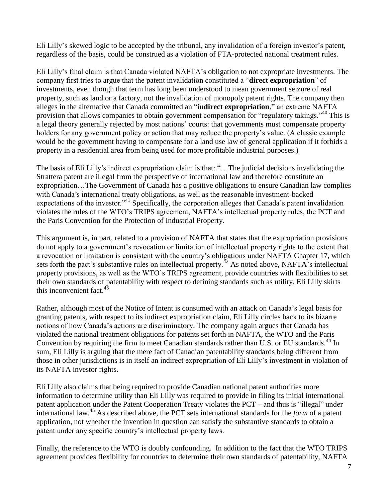Eli Lilly's skewed logic to be accepted by the tribunal, any invalidation of a foreign investor's patent, regardless of the basis, could be construed as a violation of FTA-protected national treatment rules.

Eli Lilly's final claim is that Canada violated NAFTA's obligation to not expropriate investments. The company first tries to argue that the patent invalidation constituted a "**direct expropriation**" of investments, even though that term has long been understood to mean government seizure of real property, such as land or a factory, not the invalidation of monopoly patent rights. The company then alleges in the alternative that Canada committed an "**indirect expropriation**," an extreme NAFTA provision that allows companies to obtain government compensation for "regulatory takings."<sup>40</sup> This is a legal theory generally rejected by most nations' courts: that governments must compensate property holders for any government policy or action that may reduce the property's value. (A classic example would be the government having to compensate for a land use law of general application if it forbids a property in a residential area from being used for more profitable industrial purposes.)

The basis of Eli Lilly's indirect expropriation claim is that: "…The judicial decisions invalidating the Strattera patent are illegal from the perspective of international law and therefore constitute an expropriation…The Government of Canada has a positive obligations to ensure Canadian law complies with Canada's international treaty obligations, as well as the reasonable investment-backed expectations of the investor."<sup>41</sup> Specifically, the corporation alleges that Canada's patent invalidation violates the rules of the WTO's TRIPS agreement, NAFTA's intellectual property rules, the PCT and the Paris Convention for the Protection of Industrial Property.

This argument is, in part, related to a provision of NAFTA that states that the expropriation provisions do not apply to a government's revocation or limitation of intellectual property rights to the extent that a revocation or limitation is consistent with the country's obligations under NAFTA Chapter 17, which sets forth the pact's substantive rules on intellectual property.<sup> $42$ </sup> As noted above, NAFTA's intellectual property provisions, as well as the WTO's TRIPS agreement, provide countries with flexibilities to set their own standards of patentability with respect to defining standards such as utility. Eli Lilly skirts this inconvenient fact. $43$ 

Rather, although most of the Notice of Intent is consumed with an attack on Canada's legal basis for granting patents, with respect to its indirect expropriation claim, Eli Lilly circles back to its bizarre notions of how Canada's actions are discriminatory. The company again argues that Canada has violated the national treatment obligations for patents set forth in NAFTA, the WTO and the Paris Convention by requiring the firm to meet Canadian standards rather than U.S. or EU standards.<sup>44</sup> In sum, Eli Lilly is arguing that the mere fact of Canadian patentability standards being different from those in other jurisdictions is in itself an indirect expropriation of Eli Lilly's investment in violation of its NAFTA investor rights.

Eli Lilly also claims that being required to provide Canadian national patent authorities more information to determine utility than Eli Lilly was required to provide in filing its initial international patent application under the Patent Cooperation Treaty violates the PCT – and thus is "illegal" under international law. <sup>45</sup> As described above, the PCT sets international standards for the *form* of a patent application, not whether the invention in question can satisfy the substantive standards to obtain a patent under any specific country's intellectual property laws.

Finally, the reference to the WTO is doubly confounding. In addition to the fact that the WTO TRIPS agreement provides flexibility for countries to determine their own standards of patentability, NAFTA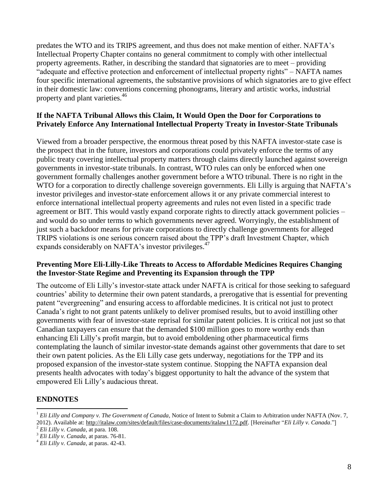predates the WTO and its TRIPS agreement, and thus does not make mention of either. NAFTA's Intellectual Property Chapter contains no general commitment to comply with other intellectual property agreements. Rather, in describing the standard that signatories are to meet – providing "adequate and effective protection and enforcement of intellectual property rights" – NAFTA names four specific international agreements, the substantive provisions of which signatories are to give effect in their domestic law: conventions concerning phonograms, literary and artistic works, industrial property and plant varieties.<sup>46</sup>

#### **If the NAFTA Tribunal Allows this Claim, It Would Open the Door for Corporations to Privately Enforce Any International Intellectual Property Treaty in Investor-State Tribunals**

Viewed from a broader perspective, the enormous threat posed by this NAFTA investor-state case is the prospect that in the future, investors and corporations could privately enforce the terms of any public treaty covering intellectual property matters through claims directly launched against sovereign governments in investor-state tribunals. In contrast, WTO rules can only be enforced when one government formally challenges another government before a WTO tribunal. There is no right in the WTO for a corporation to directly challenge sovereign governments. Eli Lilly is arguing that NAFTA's investor privileges and investor-state enforcement allows it or any private commercial interest to enforce international intellectual property agreements and rules not even listed in a specific trade agreement or BIT. This would vastly expand corporate rights to directly attack government policies – and would do so under terms to which governments never agreed. Worryingly, the establishment of just such a backdoor means for private corporations to directly challenge governments for alleged TRIPS violations is one serious concern raised about the TPP's draft Investment Chapter, which expands considerably on NAFTA's investor privileges.<sup>47</sup>

#### **Preventing More Eli-Lilly-Like Threats to Access to Affordable Medicines Requires Changing the Investor-State Regime and Preventing its Expansion through the TPP**

The outcome of Eli Lilly's investor-state attack under NAFTA is critical for those seeking to safeguard countries' ability to determine their own patent standards, a prerogative that is essential for preventing patent "evergreening" and ensuring access to affordable medicines. It is critical not just to protect Canada's right to not grant patents unlikely to deliver promised results, but to avoid instilling other governments with fear of investor-state reprisal for similar patent policies. It is critical not just so that Canadian taxpayers can ensure that the demanded \$100 million goes to more worthy ends than enhancing Eli Lilly's profit margin, but to avoid emboldening other pharmaceutical firms contemplating the launch of similar investor-state demands against other governments that dare to set their own patent policies. As the Eli Lilly case gets underway, negotiations for the TPP and its proposed expansion of the investor-state system continue. Stopping the NAFTA expansion deal presents health advocates with today's biggest opportunity to halt the advance of the system that empowered Eli Lilly's audacious threat.

#### **ENDNOTES**

 1 *Eli Lilly and Company v. The Government of Canada,* Notice of Intent to Submit a Claim to Arbitration under NAFTA (Nov. 7, 2012). Available at[: http://italaw.com/sites/default/files/case-documents/italaw1172.pdf.](http://italaw.com/sites/default/files/case-documents/italaw1172.pdf) [Hereinafter "*Eli Lilly v. Canada*."]

<sup>2</sup> *Eli Lilly v. Canada*, at para. 108.

<sup>3</sup> *Eli Lilly v. Canada*, at paras. 76-81.

<sup>4</sup> *Eli Lilly v. Canada*, at paras. 42-43.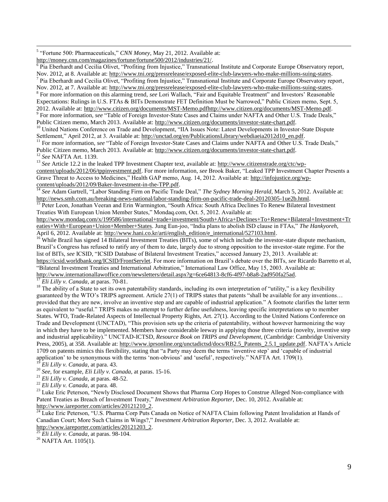5 "Fortune 500: Pharmaceuticals," *CNN Money*, May 21, 2012. Available at:

[http://money.cnn.com/magazines/fortune/fortune500/2012/industries/21/.](http://money.cnn.com/magazines/fortune/fortune500/2012/industries/21/)

 $\overline{6}$  Pia Eberhardt and Cecilia Olivet, "Profiting from Injustice," Transnational Institute and Corporate Europe Observatory report, Nov. 2012, at 8. Available at: [http://www.tni.org/pressrelease/exposed-elite-club-lawyers-who-make-millions-suing-states.](http://www.tni.org/pressrelease/exposed-elite-club-lawyers-who-make-millions-suing-states)

<sup>7</sup> Pia Eberhardt and Cecilia Olivet, "Profiting from Injustice," Transnational Institute and Corporate Europe Observatory report, Nov. 2012, at 7. Available at: [http://www.tni.org/pressrelease/exposed-elite-club-lawyers-who-make-millions-suing-states.](http://www.tni.org/pressrelease/exposed-elite-club-lawyers-who-make-millions-suing-states)

<sup>8</sup> For more information on this alarming trend, see Lori Wallach, "Fair and Equitable Treatment" and Investors' Reasonable

Expectations: Rulings in U.S. FTAs & BITs Demonstrate FET Definition Must be Narrowed," Public Citizen memo, Sept. 5, 2012. Available at[: http://www.citizen.org/documents/MST-Memo.pdfhttp://www.citizen.org/documents/MST-Memo.pdf.](http://www.citizen.org/documents/MST-Memo.pdf) <sup>9</sup> For more information, *see* "Table of Foreign Investor-State Cases and Claims under NAFTA and Other U.S. Trade Deals,"

Public Citizen memo, March 2013. Available at[: http://www.citizen.org/documents/investor-state-chart.pdf.](http://www.citizen.org/documents/investor-state-chart.pdf)

<sup>10</sup> United Nations Conference on Trade and Development, "IIA Issues Note: Latest Developments in Investor-State Dispute Settlement," April 2012, at 3. Available at: [http://unctad.org/en/PublicationsLibrary/webdiaeia2012d10\\_en.pdf.](http://unctad.org/en/PublicationsLibrary/webdiaeia2012d10_en.pdf)

<sup>11</sup> For more information, see "Table of Foreign Investor-State Cases and Claims under NAFTA and Other U.S. Trade Deals," Public Citizen memo, March 2013. Available at[: http://www.citizen.org/documents/investor-state-chart.pdf.](http://www.citizen.org/documents/investor-state-chart.pdf)

<sup>12</sup> *See* NAFTA Art. 1139.

<sup>13</sup> See Article 12.2 in the leaked TPP Investment Chapter text, available at: [http://www.citizenstrade.org/ctc/wp](http://www.citizenstrade.org/ctc/wp-content/uploads/2012/06/tppinvestment.pdf)[content/uploads/2012/06/tppinvestment.pdf.](http://www.citizenstrade.org/ctc/wp-content/uploads/2012/06/tppinvestment.pdf) For more information, *see* Brook Baker, "Leaked TPP Investment Chapter Presents a Grave Threat to Access to Medicines," Health GAP memo, Aug. 14, 2012. Available at: [http://infojustice.org/wp](http://infojustice.org/wp-content/uploads/2012/09/Baker-Investment-in-the-TPP.pdf)[content/uploads/2012/09/Baker-Investment-in-the-TPP.pdf.](http://infojustice.org/wp-content/uploads/2012/09/Baker-Investment-in-the-TPP.pdf)

<sup>14</sup> *See* Adam Gartrell, "Labor Standing Firm on Pacific Trade Deal," *The Sydney Morning Herald*, March 5, 2012. Available at: [http://news.smh.com.au/breaking-news-national/labor-standing-firm-on-pacific-trade-deal-20120305-1ue2b.html.](http://news.smh.com.au/breaking-news-national/labor-standing-firm-on-pacific-trade-deal-20120305-1ue2b.html)

<sup>15</sup> Peter Leon, Jonathan Veeran and Erin Warmington, "South Africa: South Africa Declines To Renew Bilateral Investment Treaties With European Union Member States," Mondaq.com, Oct. 5, 2012. Available at:

[http://www.mondaq.com/x/199586/international+trade+investment/South+Africa+Declines+To+Renew+Bilateral+Investment+Tr](http://www.mondaq.com/x/199586/international+trade+investment/South+Africa+Declines+To+Renew+Bilateral+Investment+Treaties+With+European+Union+Member+States) [eaties+With+European+Union+Member+States.](http://www.mondaq.com/x/199586/international+trade+investment/South+Africa+Declines+To+Renew+Bilateral+Investment+Treaties+With+European+Union+Member+States) Jung Eun-joo, "India plans to abolish ISD clause in FTAs," *The Hankyoreh*, April 6, 2012. Available at[: http://www.hani.co.kr/arti/english\\_edition/e\\_international/527103.html.](http://www.hani.co.kr/arti/english_edition/e_international/527103.html)

 $^{16}$  While Brazil has signed 14 Bilateral Investment Treaties (BITs), some of which include the investor-state dispute mechanism, Brazil's Congress has refused to ratify any of them to date, largely due to strong opposition to the investor-state regime. For the list of BITs, *see* ICSID, "ICSID Database of Bilateral Investment Treaties," accessed January 23, 2013. Available at: [https://icsid.worldbank.org/ICSID/FrontServlet.](https://icsid.worldbank.org/ICSID/FrontServlet) For more information on Brazil's debate over the BITs, *see* Ricardo Barretto et al, "Bilateral Investment Treaties and International Arbitration," International Law Office, May 15, 2003. Available at: [http://www.internationallawoffice.com/newsletters/detail.aspx?g=6ce64813-8cf6-4f97-b8a8-2ad950fa25ad.](http://www.internationallawoffice.com/newsletters/detail.aspx?g=6ce64813-8cf6-4f97-b8a8-2ad950fa25ad) 

<sup>17</sup> *Eli Lilly v. Canada*, at paras. 70-81.

<sup>18</sup> The ability of a State to set its own patentability standards, including its own interpretation of "utility," is a key flexibility guaranteed by the WTO's TRIPS agreement. Article 27(1) of TRIPS states that patents "shall be available for any inventions… provided that they are new, involve an inventive step and are capable of industrial application." A footnote clarifies the latter term as equivalent to "useful." TRIPS makes no attempt to further define usefulness, leaving specific interpretations up to member States. WTO, Trade-Related Aspects of Intellectual Property Rights, Art. 27(1). According to the United Nations Conference on Trade and Development (UNCTAD), "This provision sets up the criteria of patentability, without however harmonizing the way in which they have to be implemented. Members have considerable leeway in applying those three criteria (novelty, inventive step and industrial applicability)." UNCTAD-ICTSD, *Resource Book on TRIPS and Development*, (Cambridge: Cambridge University Press, 2005), at 358. Available at[: http://www.iprsonline.org/unctadictsd/docs/RB2.5\\_Patents\\_2.5.1\\_update.pdf.](http://www.iprsonline.org/unctadictsd/docs/RB2.5_Patents_2.5.1_update.pdf) NAFTA's Article 1709 on patents mimics this flexibility, stating that "a Party may deem the terms 'inventive step' and 'capable of industrial application' to be synonymous with the terms 'non-obvious' and 'useful', respectively." NAFTA Art. 1709(1).

<sup>19</sup> *Eli Lilly v. Canada*, at para. 43.

<sup>20</sup> *See,* for example, *Eli Lilly v. Canada*, at paras. 15-16.

<sup>21</sup> *Eli Lilly v. Canada*, at paras. 48-52.

<sup>22</sup> *Eli Lilly v. Canada*, at para. 48.

<sup>23</sup> Luke Eric Peterson, "Newly Disclosed Document Shows that Pharma Corp Hopes to Construe Alleged Non-compliance with Patent Treaties as Breach of Investment Treaty," *Investment Arbitration Reporter*, Dec. 10, 2012. Available at: [http://www.iareporter.com/articles/20121210\\_2.](http://www.iareporter.com/articles/20121210_2)<br> $\frac{24}{24}$  Luke Frie Poterson. "LS\_PL

Luke Eric Peterson, "U.S. Pharma Corp Puts Canada on Notice of NAFTA Claim following Patent Invalidation at Hands of Canadian Court; More Such Claims in Wings?," *Investment Arbitration Reporter*, Dec. 3, 2012. Available at: http://www.iareporter.com/articles/20121203<sup>2</sup>.

<sup>25</sup> *Eli Lilly v. Canada*, at paras. 98-104.

<sup>26</sup> NAFTA Art. 1105(1).